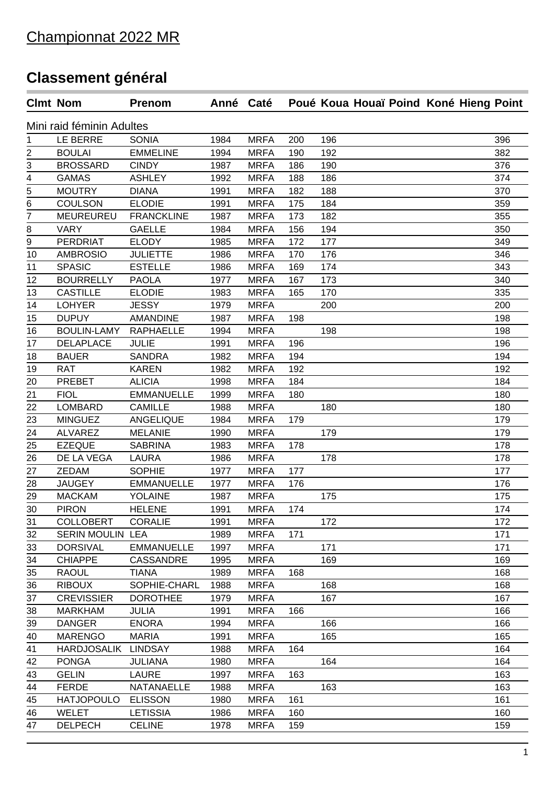## **Classement général**

|                           | <b>Clmt Nom</b>    | <b>Prenom</b>     | Anné Caté |             |     | Poué Koua Houaï Poind Koné Hieng Point |     |  |  |  |
|---------------------------|--------------------|-------------------|-----------|-------------|-----|----------------------------------------|-----|--|--|--|
| Mini raid féminin Adultes |                    |                   |           |             |     |                                        |     |  |  |  |
| 1                         | LE BERRE           | <b>SONIA</b>      | 1984      | <b>MRFA</b> | 200 | 196                                    | 396 |  |  |  |
| $\overline{c}$            | <b>BOULAI</b>      | <b>EMMELINE</b>   | 1994      | <b>MRFA</b> | 190 | 192                                    | 382 |  |  |  |
| $rac{3}{4}$               | <b>BROSSARD</b>    | <b>CINDY</b>      | 1987      | <b>MRFA</b> | 186 | 190                                    | 376 |  |  |  |
|                           | <b>GAMAS</b>       | <b>ASHLEY</b>     | 1992      | <b>MRFA</b> | 188 | 186                                    | 374 |  |  |  |
|                           | <b>MOUTRY</b>      | <b>DIANA</b>      | 1991      | <b>MRFA</b> | 182 | 188                                    | 370 |  |  |  |
| $\frac{5}{6}$             | <b>COULSON</b>     | <b>ELODIE</b>     | 1991      | <b>MRFA</b> | 175 | 184                                    | 359 |  |  |  |
| $\overline{7}$            | <b>MEUREUREU</b>   | <b>FRANCKLINE</b> | 1987      | <b>MRFA</b> | 173 | 182                                    | 355 |  |  |  |
| 8                         | <b>VARY</b>        | <b>GAELLE</b>     | 1984      | <b>MRFA</b> | 156 | 194                                    | 350 |  |  |  |
| 9                         | PERDRIAT           | <b>ELODY</b>      | 1985      | <b>MRFA</b> | 172 | 177                                    | 349 |  |  |  |
| 10                        | <b>AMBROSIO</b>    | <b>JULIETTE</b>   | 1986      | <b>MRFA</b> | 170 | 176                                    | 346 |  |  |  |
| 11                        | <b>SPASIC</b>      | <b>ESTELLE</b>    | 1986      | <b>MRFA</b> | 169 | 174                                    | 343 |  |  |  |
| 12                        | <b>BOURRELLY</b>   | <b>PAOLA</b>      | 1977      | <b>MRFA</b> | 167 | 173                                    | 340 |  |  |  |
| 13                        | <b>CASTILLE</b>    | <b>ELODIE</b>     | 1983      | <b>MRFA</b> | 165 | 170                                    | 335 |  |  |  |
| 14                        | <b>LOHYER</b>      | <b>JESSY</b>      | 1979      | <b>MRFA</b> |     | 200                                    | 200 |  |  |  |
| 15                        | <b>DUPUY</b>       | <b>AMANDINE</b>   | 1987      | <b>MRFA</b> | 198 |                                        | 198 |  |  |  |
| 16                        | <b>BOULIN-LAMY</b> | <b>RAPHAELLE</b>  | 1994      | <b>MRFA</b> |     | 198                                    | 198 |  |  |  |
| 17                        | <b>DELAPLACE</b>   | <b>JULIE</b>      | 1991      | <b>MRFA</b> | 196 |                                        | 196 |  |  |  |
| 18                        | <b>BAUER</b>       | <b>SANDRA</b>     | 1982      | <b>MRFA</b> | 194 |                                        | 194 |  |  |  |
| 19                        | <b>RAT</b>         | <b>KAREN</b>      | 1982      | <b>MRFA</b> | 192 |                                        | 192 |  |  |  |
| 20                        | PREBET             | <b>ALICIA</b>     | 1998      | <b>MRFA</b> | 184 |                                        | 184 |  |  |  |
| 21                        | <b>FIOL</b>        | <b>EMMANUELLE</b> | 1999      | <b>MRFA</b> | 180 |                                        | 180 |  |  |  |
| 22                        | <b>LOMBARD</b>     | <b>CAMILLE</b>    | 1988      | <b>MRFA</b> |     | 180                                    | 180 |  |  |  |
| 23                        | <b>MINGUEZ</b>     | <b>ANGELIQUE</b>  | 1984      | <b>MRFA</b> | 179 |                                        | 179 |  |  |  |
| 24                        | <b>ALVAREZ</b>     | <b>MELANIE</b>    | 1990      | <b>MRFA</b> |     | 179                                    | 179 |  |  |  |
| 25                        | <b>EZEQUE</b>      | <b>SABRINA</b>    | 1983      | <b>MRFA</b> | 178 |                                        | 178 |  |  |  |
| 26                        | DE LA VEGA         | LAURA             | 1986      | <b>MRFA</b> |     | 178                                    | 178 |  |  |  |
| 27                        | ZEDAM              | <b>SOPHIE</b>     | 1977      | <b>MRFA</b> | 177 |                                        | 177 |  |  |  |
| 28                        | <b>JAUGEY</b>      | <b>EMMANUELLE</b> | 1977      | <b>MRFA</b> | 176 |                                        | 176 |  |  |  |
| 29                        | <b>MACKAM</b>      | <b>YOLAINE</b>    | 1987      | <b>MRFA</b> |     | 175                                    | 175 |  |  |  |
| 30                        | <b>PIRON</b>       | <b>HELENE</b>     | 1991      | <b>MRFA</b> | 174 |                                        | 174 |  |  |  |
| 31                        | <b>COLLOBERT</b>   | <b>CORALIE</b>    | 1991      | <b>MRFA</b> |     | 172                                    | 172 |  |  |  |
| 32                        | SERIN MOULIN LEA   |                   | 1989      | <b>MRFA</b> | 171 |                                        | 171 |  |  |  |
| 33                        | <b>DORSIVAL</b>    | <b>EMMANUELLE</b> | 1997      | <b>MRFA</b> |     | 171                                    | 171 |  |  |  |
| 34                        | <b>CHIAPPE</b>     | <b>CASSANDRE</b>  | 1995      | <b>MRFA</b> |     | 169                                    | 169 |  |  |  |
| 35                        | <b>RAOUL</b>       | <b>TIANA</b>      | 1989      | <b>MRFA</b> | 168 |                                        | 168 |  |  |  |
| 36                        | <b>RIBOUX</b>      | SOPHIE-CHARL      | 1988      | <b>MRFA</b> |     | 168                                    | 168 |  |  |  |
| 37                        | <b>CREVISSIER</b>  | <b>DOROTHEE</b>   | 1979      | <b>MRFA</b> |     | 167                                    | 167 |  |  |  |
| 38                        | <b>MARKHAM</b>     | <b>JULIA</b>      | 1991      | <b>MRFA</b> | 166 |                                        | 166 |  |  |  |
| 39                        | <b>DANGER</b>      | <b>ENORA</b>      | 1994      | <b>MRFA</b> |     | 166                                    | 166 |  |  |  |
| 40                        | <b>MARENGO</b>     | <b>MARIA</b>      | 1991      | <b>MRFA</b> |     | 165                                    | 165 |  |  |  |
| 41                        | <b>HARDJOSALIK</b> | <b>LINDSAY</b>    | 1988      | <b>MRFA</b> | 164 |                                        | 164 |  |  |  |
| 42                        | <b>PONGA</b>       | <b>JULIANA</b>    | 1980      | <b>MRFA</b> |     | 164                                    | 164 |  |  |  |
| 43                        | <b>GELIN</b>       | <b>LAURE</b>      | 1997      | <b>MRFA</b> | 163 |                                        | 163 |  |  |  |
| 44                        | <b>FERDE</b>       | NATANAELLE        | 1988      | <b>MRFA</b> |     | 163                                    | 163 |  |  |  |
| 45                        | <b>HATJOPOULO</b>  | <b>ELISSON</b>    | 1980      | <b>MRFA</b> | 161 |                                        | 161 |  |  |  |
| 46                        | <b>WELET</b>       | <b>LETISSIA</b>   | 1986      | <b>MRFA</b> | 160 |                                        | 160 |  |  |  |
| 47                        | <b>DELPECH</b>     | <b>CELINE</b>     | 1978      | <b>MRFA</b> | 159 |                                        | 159 |  |  |  |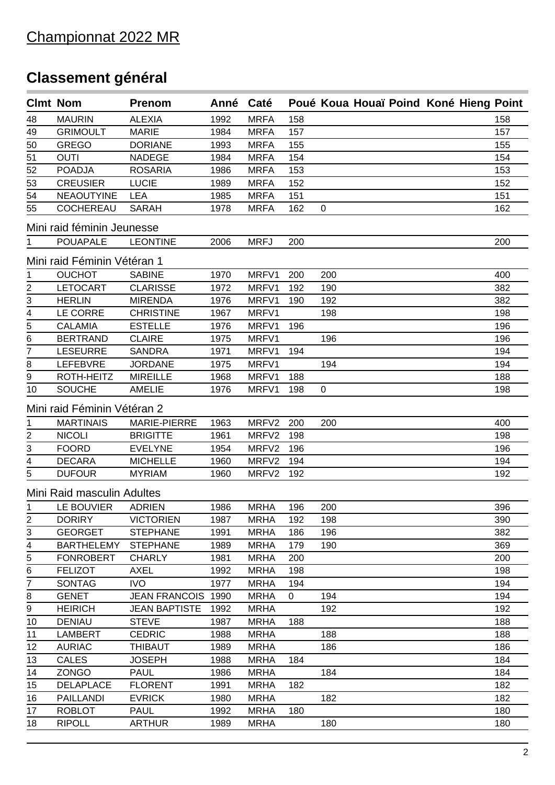## **Classement général**

|                | <b>Clmt Nom</b>             | <b>Prenom</b>        | Anné | Caté        |     |             |  | Poué Koua Houaï Poind Koné Hieng Point |  |
|----------------|-----------------------------|----------------------|------|-------------|-----|-------------|--|----------------------------------------|--|
| 48             | <b>MAURIN</b>               | <b>ALEXIA</b>        | 1992 | <b>MRFA</b> | 158 |             |  | 158                                    |  |
| 49             | <b>GRIMOULT</b>             | <b>MARIE</b>         | 1984 | <b>MRFA</b> | 157 |             |  | 157                                    |  |
| 50             | <b>GREGO</b>                | <b>DORIANE</b>       | 1993 | <b>MRFA</b> | 155 |             |  | 155                                    |  |
| 51             | <b>OUTI</b>                 | <b>NADEGE</b>        | 1984 | <b>MRFA</b> | 154 |             |  | 154                                    |  |
| 52             | <b>POADJA</b>               | <b>ROSARIA</b>       | 1986 | <b>MRFA</b> | 153 |             |  | 153                                    |  |
| 53             | <b>CREUSIER</b>             | <b>LUCIE</b>         | 1989 | <b>MRFA</b> | 152 |             |  | 152                                    |  |
| 54             | <b>NEAOUTYINE</b>           | <b>LEA</b>           | 1985 | <b>MRFA</b> | 151 |             |  | 151                                    |  |
| 55             | <b>COCHEREAU</b>            | <b>SARAH</b>         | 1978 | <b>MRFA</b> | 162 | $\mathbf 0$ |  | 162                                    |  |
|                | Mini raid féminin Jeunesse  |                      |      |             |     |             |  |                                        |  |
| 1              | <b>POUAPALE</b>             | <b>LEONTINE</b>      | 2006 | <b>MRFJ</b> | 200 |             |  | 200                                    |  |
|                | Mini raid Féminin Vétéran 1 |                      |      |             |     |             |  |                                        |  |
| 1              | <b>OUCHOT</b>               | <b>SABINE</b>        | 1970 | MRFV1       | 200 | 200         |  | 400                                    |  |
| $\overline{c}$ | <b>LETOCART</b>             | <b>CLARISSE</b>      | 1972 | MRFV1       | 192 | 190         |  | 382                                    |  |
| 3              | <b>HERLIN</b>               | <b>MIRENDA</b>       | 1976 | MRFV1       | 190 | 192         |  | 382                                    |  |
|                | LE CORRE                    | <b>CHRISTINE</b>     | 1967 | MRFV1       |     | 198         |  | 198                                    |  |
| $\frac{4}{5}$  | <b>CALAMIA</b>              | <b>ESTELLE</b>       | 1976 | MRFV1       | 196 |             |  | 196                                    |  |
| 6              | <b>BERTRAND</b>             | <b>CLAIRE</b>        | 1975 | MRFV1       |     | 196         |  | 196                                    |  |
| 7              | <b>LESEURRE</b>             | <b>SANDRA</b>        | 1971 | MRFV1       | 194 |             |  | 194                                    |  |
| $\bf 8$        | <b>LEFEBVRE</b>             | <b>JORDANE</b>       | 1975 | MRFV1       |     | 194         |  | 194                                    |  |
| 9              | ROTH-HEITZ                  | <b>MIREILLE</b>      | 1968 | MRFV1       | 188 |             |  | 188                                    |  |
| 10             | <b>SOUCHE</b>               | <b>AMELIE</b>        | 1976 | MRFV1       | 198 | $\mathbf 0$ |  | 198                                    |  |
|                |                             |                      |      |             |     |             |  |                                        |  |
|                | Mini raid Féminin Vétéran 2 |                      |      |             |     |             |  |                                        |  |
| 1              | <b>MARTINAIS</b>            | MARIE-PIERRE         | 1963 | MRFV2       | 200 | 200         |  | 400                                    |  |
| $\frac{2}{3}$  | <b>NICOLI</b>               | <b>BRIGITTE</b>      | 1961 | MRFV2       | 198 |             |  | 198                                    |  |
|                | <b>FOORD</b>                | <b>EVELYNE</b>       | 1954 | MRFV2       | 196 |             |  | 196                                    |  |
| 4              | <b>DECARA</b>               | <b>MICHELLE</b>      | 1960 | MRFV2       | 194 |             |  | 194                                    |  |
| 5              | <b>DUFOUR</b>               | <b>MYRIAM</b>        | 1960 | MRFV2       | 192 |             |  | 192                                    |  |
|                | Mini Raid masculin Adultes  |                      |      |             |     |             |  |                                        |  |
| $\mathbf 1$    | LE BOUVIER                  | <b>ADRIEN</b>        | 1986 | <b>MRHA</b> | 196 | 200         |  | 396                                    |  |
| 2              | <b>DORIRY</b>               | <b>VICTORIEN</b>     | 1987 | <b>MRHA</b> | 192 | 198         |  | 390                                    |  |
| 3              | <b>GEORGET</b>              | <b>STEPHANE</b>      | 1991 | <b>MRHA</b> | 186 | 196         |  | 382                                    |  |
| 4              | <b>BARTHELEMY</b>           | <b>STEPHANE</b>      | 1989 | <b>MRHA</b> | 179 | 190         |  | 369                                    |  |
| 5              | <b>FONROBERT</b>            | <b>CHARLY</b>        | 1981 | <b>MRHA</b> | 200 |             |  | 200                                    |  |
| 6              | <b>FELIZOT</b>              | <b>AXEL</b>          | 1992 | <b>MRHA</b> | 198 |             |  | 198                                    |  |
| 7              | <b>SONTAG</b>               | <b>IVO</b>           | 1977 | <b>MRHA</b> | 194 |             |  | 194                                    |  |
| 8              | <b>GENET</b>                | <b>JEAN FRANCOIS</b> | 1990 | <b>MRHA</b> | 0   | 194         |  | 194                                    |  |
| 9              | <b>HEIRICH</b>              | <b>JEAN BAPTISTE</b> | 1992 | <b>MRHA</b> |     | 192         |  | 192                                    |  |
| 10             | <b>DENIAU</b>               | <b>STEVE</b>         | 1987 | <b>MRHA</b> | 188 |             |  | 188                                    |  |
| 11             | <b>LAMBERT</b>              | <b>CEDRIC</b>        | 1988 | <b>MRHA</b> |     | 188         |  | 188                                    |  |
| 12             | <b>AURIAC</b>               | <b>THIBAUT</b>       | 1989 | <b>MRHA</b> |     | 186         |  | 186                                    |  |
| 13             | <b>CALES</b>                | <b>JOSEPH</b>        | 1988 | <b>MRHA</b> | 184 |             |  | 184                                    |  |
| 14             | <b>ZONGO</b>                | <b>PAUL</b>          | 1986 | <b>MRHA</b> |     | 184         |  | 184                                    |  |
| 15             | <b>DELAPLACE</b>            | <b>FLORENT</b>       | 1991 | <b>MRHA</b> | 182 |             |  | 182                                    |  |
| 16             | <b>PAILLANDI</b>            | <b>EVRICK</b>        | 1980 | <b>MRHA</b> |     | 182         |  | 182                                    |  |
| 17             | <b>ROBLOT</b>               | <b>PAUL</b>          | 1992 | <b>MRHA</b> | 180 |             |  | 180                                    |  |
| 18             | <b>RIPOLL</b>               | <b>ARTHUR</b>        | 1989 | <b>MRHA</b> |     | 180         |  | 180                                    |  |
|                |                             |                      |      |             |     |             |  |                                        |  |